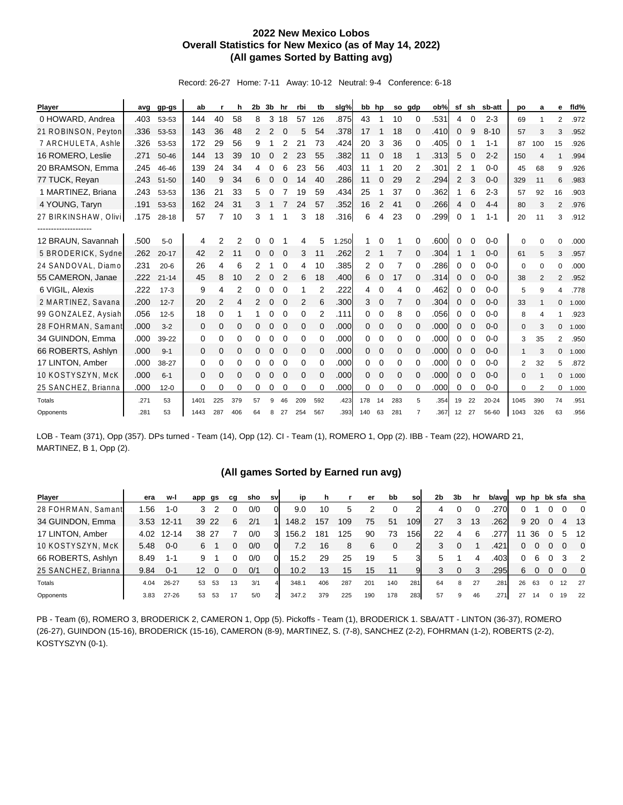## **2022 New Mexico Lobos Overall Statistics for New Mexico (as of May 14, 2022) (All games Sorted by Batting avg)**

Record: 26-27 Home: 7-11 Away: 10-12 Neutral: 9-4 Conference: 6-18

| <b>Player</b>        |      | avg gp-gs | ab           |                | h              | 2b | 3b          | hr             | rbi          | tb       | slg%  | bb hp          |              |                | so gdp         | ob%  | sf             | sh       | sb-att   | po             | a              | е              | fid%  |
|----------------------|------|-----------|--------------|----------------|----------------|----|-------------|----------------|--------------|----------|-------|----------------|--------------|----------------|----------------|------|----------------|----------|----------|----------------|----------------|----------------|-------|
| 0 HOWARD, Andrea     | .403 | 53-53     | 144          | 40             | 58             | 8  | 3           | 18             | 57           | 126      | .875  | 43             | 1            | 10             | 0              | .531 | 4              | 0        | $2 - 3$  | 69             | 1              | $\overline{2}$ | .972  |
| 21 ROBINSON, Peyton  | .336 | 53-53     | 143          | 36             | 48             | 2  | 2           | 0              | 5            | 54       | .378  | 17             | 1            | 18             | $\mathbf 0$    | .410 | 0              | 9        | $8 - 10$ | 57             | 3              | 3              | .952  |
| 7 ARCHULETA, Ashle   | .326 | 53-53     | 172          | 29             | 56             | 9  |             | 2              | 21           | 73       | .424  | 20             | 3            | 36             | $\Omega$       | .405 | 0              |          | $1 - 1$  | 87             | 100            | 15             | .926  |
| 16 ROMERO, Leslie    | .271 | 50-46     | 144          | 13             | 39             | 10 | 0           | 2              | 23           | 55       | .382  | 11             | $\mathbf 0$  | 18             |                | .313 | 5              | $\Omega$ | $2 - 2$  | 150            | $\overline{4}$ | $\mathbf{1}$   | .994  |
| 20 BRAMSON, Emma     | .245 | 46-46     | 139          | 24             | 34             | 4  | 0           | 6              | 23           | 56       | .403  | 11             |              | 20             | 2              | .301 | 2              | 1        | $0 - 0$  | 45             | 68             | 9              | .926  |
| 77 TUCK, Reyan       | .243 | $51 - 50$ | 140          | 9              | 34             | 6  | $\mathbf 0$ | $\Omega$       | 14           | 40       | .286  | 11             | $\Omega$     | 29             | 2              | .294 | $\overline{2}$ | 3        | $0 - 0$  | 329            | 11             | 6              | .983  |
| 1 MARTINEZ, Briana   | .243 | 53-53     | 136          | 21             | 33             | 5  | 0           |                | 19           | 59       | .434  | 25             |              | 37             | $\Omega$       | .362 |                | 6        | $2 - 3$  | 57             | 92             | 16             | .903  |
| 4 YOUNG, Taryn       | .191 | 53-53     | 162          | 24             | 31             | 3  |             |                | 24           | 57       | .352  | 16             | 2            | 41             | $\Omega$       | .266 | 4              | $\Omega$ | $4 - 4$  | 80             | 3              | $\overline{2}$ | .976  |
| 27 BIRKINSHAW, Olivi | .175 | $28 - 18$ | 57           | 7              | 10             | 3  |             |                | 3            | 18       | .316  | 6              | 4            | 23             | $\Omega$       | .299 | 0              |          | $1 - 1$  | 20             | 11             | 3              | .912  |
| ----------------     |      |           |              |                |                |    |             |                |              |          |       |                |              |                |                |      |                |          |          |                |                |                |       |
| 12 BRAUN, Savannah   | .500 | $5-0$     | 4            | 2              | $\overline{2}$ | 0  | 0           |                | 4            | 5        | 1.250 |                | $\Omega$     |                | 0              | .600 | 0              | $\Omega$ | $0 - 0$  | 0              | $\Omega$       | $\Omega$       | .000  |
| 5 BRODERICK, Sydne   | .262 | $20 - 17$ | 42           | 2              | 11             | 0  | $\mathbf 0$ | $\Omega$       | 3            | 11       | .262  | $\overline{2}$ | 1            | 7              | $\Omega$       | .304 |                | 1        | $0 - 0$  | 61             | 5              | 3              | .957  |
| 24 SANDOVAL, Diamo   | .231 | $20 - 6$  | 26           | 4              | 6              | 2  |             | 0              | 4            | 10       | .385  | $\overline{2}$ | 0            | 7              | 0              | .286 | 0              | 0        | $0 - 0$  | 0              | $\Omega$       | 0              | .000  |
| 55 CAMERON, Janae    | .222 | $21 - 14$ | 45           | 8              | 10             | 2  | $\mathbf 0$ | $\overline{2}$ | 6            | 18       | .400  | 6              | $\mathbf 0$  | 17             | $\mathbf 0$    | .314 | 0              | 0        | $0 - 0$  | 38             | $\overline{2}$ | 2              | .952  |
| 6 VIGIL, Alexis      | .222 | $17-3$    | 9            | 4              | 2              | 0  | 0           | 0              | 1            | 2        | .222  | 4              | 0            | 4              | $\Omega$       | .462 | 0              | $\Omega$ | $0 - 0$  | 5              | 9              | 4              | .778  |
| 2 MARTINEZ, Savana   | .200 | $12 - 7$  | 20           | $\overline{2}$ | 4              | 2  | $\mathbf 0$ | $\Omega$       | 2            | 6        | .300  | 3              | $\mathbf 0$  | $\overline{7}$ | $\Omega$       | .304 | 0              | $\Omega$ | $0 - 0$  | 33             | $\mathbf{1}$   | $\Omega$       | 1.000 |
| 99 GONZALEZ, Aysiah  | .056 | $12 - 5$  | 18           | 0              | 1              |    | 0           | 0              | 0            | 2        | .111  | 0              | 0            | 8              | 0              | .056 | 0              | 0        | $0 - 0$  | 8              | 4              | 1              | .923  |
| 28 FOHRMAN, Samant   | .000 | $3 - 2$   | $\mathbf{0}$ | 0              | 0              | 0  | $\mathbf 0$ | $\mathbf 0$    | $\mathbf{0}$ | $\Omega$ | .000  | $\Omega$       | $\mathbf{0}$ | 0              | $\mathbf 0$    | .000 | 0              | $\Omega$ | $0 - 0$  | $\mathbf{0}$   | 3              | $\mathbf{0}$   | 1.000 |
| 34 GUINDON, Emma     | .000 | 39-22     | 0            | 0              | 0              | 0  | 0           | $\Omega$       | 0            | 0        | .000  | 0              | 0            | 0              | 0              | .000 | 0              | 0        | $0 - 0$  | 3              | 35             | 2              | .950  |
| 66 ROBERTS, Ashlyn   | .000 | $9 - 1$   | $\Omega$     | 0              | 0              | 0  | $\Omega$    | $\Omega$       | 0            | $\Omega$ | .000  | $\Omega$       | $\mathbf 0$  | $\mathbf 0$    | $\Omega$       | .000 | 0              | $\Omega$ | $0 - 0$  | 1              | 3              | $\Omega$       | 1.000 |
| 17 LINTON, Amber     | .000 | 38-27     | 0            | 0              | 0              | 0  | 0           | $\Omega$       | 0            | $\Omega$ | .000  | 0              | $\Omega$     | $\Omega$       | $\Omega$       | .000 | 0              | 0        | $0 - 0$  | $\overline{2}$ | 32             | 5              | .872  |
| 10 KOSTYSZYN, McK    | .000 | $6 - 1$   | $\mathbf 0$  | 0              | 0              | 0  | $\mathbf 0$ | $\mathbf 0$    | $\mathbf 0$  | $\Omega$ | .000  | $\Omega$       | $\mathbf 0$  | $\mathbf 0$    | $\mathbf 0$    | .000 | 0              | 0        | $0 - 0$  | $\mathbf{0}$   |                | $\mathbf{0}$   | 1.000 |
| 25 SANCHEZ, Brianna  | .000 | $12 - 0$  | 0            | 0              | 0              | 0  | 0           | 0              | 0            | 0        | .000  | 0              | 0            | 0              | 0              | .000 | 0              | 0        | $0 - 0$  | 0              | 2              | 0              | 1.000 |
| Totals               | .271 | 53        | 1401         | 225            | 379            | 57 | 9           | 46             | 209          | 592      | .423  | 178            | 14           | 283            | 5              | .354 | 19             | 22       | 20-24    | 1045           | 390            | 74             | .951  |
| Opponents            | .281 | 53        | 1443         | 287            | 406            | 64 | 8           | 27             | 254          | 567      | .393  | 140            | 63           | 281            | $\overline{7}$ | .367 | 12             | 27       | 56-60    | 1043           | 326            | 63             | .956  |

LOB - Team (371), Opp (357). DPs turned - Team (14), Opp (12). CI - Team (1), ROMERO 1, Opp (2). IBB - Team (22), HOWARD 21, MARTINEZ, B 1, Opp (2).

## **(All games Sorted by Earned run avg)**

| Player              | era  | w-l        | app gs            |     | cq | sho | sv | <b>ip</b> | n.  |     | er  | bb  | sol | 2 <sub>b</sub> | 3b | hr | b/avg |    |      |          |                | wp hp bk sfa sha |
|---------------------|------|------------|-------------------|-----|----|-----|----|-----------|-----|-----|-----|-----|-----|----------------|----|----|-------|----|------|----------|----------------|------------------|
| 28 FOHRMAN, Samant  | .56  | 1-0        | 3                 |     |    | 0/0 |    | 9.0       | 10  | 5   |     |     |     | 4              |    |    | .270  |    |      |          |                | $\overline{0}$   |
| 34 GUINDON, Emma    |      | 3.53 12-11 | 39                | 22  | 6  | 2/1 | 1  | 148.2     | 157 | 109 | 75  | 51  | 109 | 27             | 3  | 13 | .262  |    | 9 20 | $\Omega$ |                | 4 13             |
| 17 LINTON, Amber    |      | 4.02 12-14 | 38                | -27 |    | 0/0 | 3  | 156.2     | 181 | 125 | 90  | 73  | 156 | 22             | 4  | 6  | .277  |    | 36   |          | 5              | 12               |
| 10 KOSTYSZYN, McK   | 5.48 | $0 - 0$    | 6                 |     |    | 0/0 |    | 7.2       | 16  | 8   | 6   | 0   |     | 3              |    |    | .421  | 0  |      |          |                | $\overline{0}$   |
| 66 ROBERTS, Ashlyn  | 8.49 | $1 - 1$    |                   |     |    | 0/0 |    | 15.2      | 29  | 25  | 19  | 5   |     | 5.             |    |    | .403  | 0  | 6    |          | 3              | $\overline{2}$   |
| 25 SANCHEZ, Brianna | 9.84 | $0 - 1$    | $12 \overline{ }$ |     |    | 0/1 |    | 10.2      | 13  | 15  | 15  | 11  |     | 3              | 0  |    | .295  | 6  | 0    | $\Omega$ | $\overline{0}$ | $\overline{0}$   |
| Totals              | 4.04 | 26-27      | 53                | 53  | 13 | 3/1 |    | 348.1     | 406 | 287 | 201 | 140 | 281 | 64             | 8  | 27 | .281  | 26 | 63   | $\Omega$ | 12             | - 27             |
| Opponents           | 3.83 | 27-26      | 53                | 53  | 17 | 5/0 |    | 347.2     | 379 | 225 | 190 | 178 | 283 | 57             | 9  | 46 | .271  | 27 | 14   | $\Omega$ | 19             | 22               |

PB - Team (6), ROMERO 3, BRODERICK 2, CAMERON 1, Opp (5). Pickoffs - Team (1), BRODERICK 1. SBA/ATT - LINTON (36-37), ROMERO (26-27), GUINDON (15-16), BRODERICK (15-16), CAMERON (8-9), MARTINEZ, S. (7-8), SANCHEZ (2-2), FOHRMAN (1-2), ROBERTS (2-2), KOSTYSZYN (0-1).